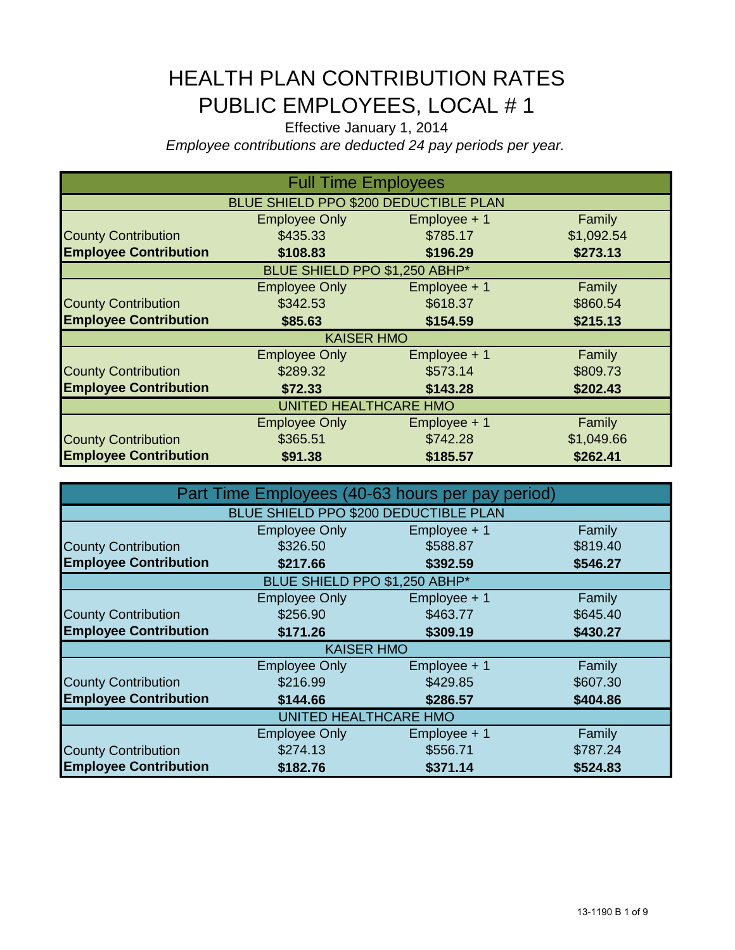## HEALTH PLAN CONTRIBUTION RATES PUBLIC EMPLOYEES, LOCAL # 1

Effective January 1, 2014

*Employee contributions are deducted 24 pay periods per year.*

| <b>Full Time Employees</b>   |                                       |              |            |  |
|------------------------------|---------------------------------------|--------------|------------|--|
|                              | BLUE SHIELD PPO \$200 DEDUCTIBLE PLAN |              |            |  |
|                              | <b>Employee Only</b>                  | Employee + 1 | Family     |  |
| <b>County Contribution</b>   | \$435.33                              | \$785.17     | \$1,092.54 |  |
| <b>Employee Contribution</b> | \$108.83                              | \$196.29     | \$273.13   |  |
|                              | BLUE SHIELD PPO \$1,250 ABHP*         |              |            |  |
|                              | <b>Employee Only</b>                  | Employee + 1 | Family     |  |
| <b>County Contribution</b>   | \$342.53                              | \$618.37     | \$860.54   |  |
| <b>Employee Contribution</b> | \$85.63                               | \$154.59     | \$215.13   |  |
|                              | <b>KAISER HMO</b>                     |              |            |  |
|                              | <b>Employee Only</b>                  | Employee + 1 | Family     |  |
| <b>County Contribution</b>   | \$289.32                              | \$573.14     | \$809.73   |  |
| <b>Employee Contribution</b> | \$72.33                               | \$143.28     | \$202.43   |  |
| UNITED HEALTHCARE HMO        |                                       |              |            |  |
|                              | <b>Employee Only</b>                  | Employee + 1 | Family     |  |
| <b>County Contribution</b>   | \$365.51                              | \$742.28     | \$1,049.66 |  |
| <b>Employee Contribution</b> | \$91.38                               | \$185.57     | \$262.41   |  |

| Part Time Employees (40-63 hours per pay period) |                                       |              |          |  |
|--------------------------------------------------|---------------------------------------|--------------|----------|--|
|                                                  | BLUE SHIELD PPO \$200 DEDUCTIBLE PLAN |              |          |  |
|                                                  | Employee Only                         | Employee + 1 | Family   |  |
| <b>County Contribution</b>                       | \$326.50                              | \$588.87     | \$819.40 |  |
| <b>Employee Contribution</b>                     | \$217.66                              | \$392.59     | \$546.27 |  |
|                                                  | BLUE SHIELD PPO \$1,250 ABHP*         |              |          |  |
|                                                  | <b>Employee Only</b>                  | Employee + 1 | Family   |  |
| <b>County Contribution</b>                       | \$256.90                              | \$463.77     | \$645.40 |  |
| <b>Employee Contribution</b>                     | \$171.26                              | \$309.19     | \$430.27 |  |
|                                                  | <b>KAISER HMO</b>                     |              |          |  |
|                                                  | <b>Employee Only</b>                  | Employee + 1 | Family   |  |
| <b>County Contribution</b>                       | \$216.99                              | \$429.85     | \$607.30 |  |
| <b>Employee Contribution</b>                     | \$144.66                              | \$286.57     | \$404.86 |  |
| UNITED HEALTHCARE HMO                            |                                       |              |          |  |
|                                                  | <b>Employee Only</b>                  | Employee + 1 | Family   |  |
| <b>County Contribution</b>                       | \$274.13                              | \$556.71     | \$787.24 |  |
| <b>Employee Contribution</b>                     | \$182.76                              | \$371.14     | \$524.83 |  |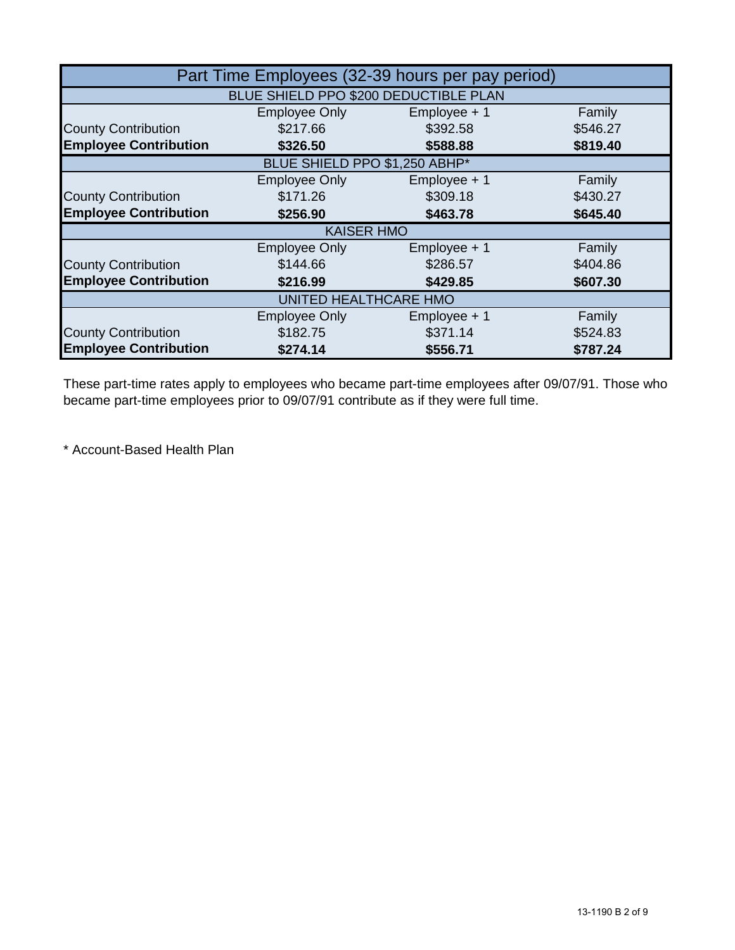| Part Time Employees (32-39 hours per pay period) |                                       |                |          |  |
|--------------------------------------------------|---------------------------------------|----------------|----------|--|
|                                                  | BLUE SHIELD PPO \$200 DEDUCTIBLE PLAN |                |          |  |
|                                                  | <b>Employee Only</b>                  | Employee + 1   | Family   |  |
| <b>County Contribution</b>                       | \$217.66                              | \$392.58       | \$546.27 |  |
| <b>Employee Contribution</b>                     | \$326.50                              | \$588.88       | \$819.40 |  |
|                                                  | BLUE SHIELD PPO \$1,250 ABHP*         |                |          |  |
|                                                  | <b>Employee Only</b>                  | Employee + 1   | Family   |  |
| <b>County Contribution</b>                       | \$171.26                              | \$309.18       | \$430.27 |  |
| <b>Employee Contribution</b>                     | \$256.90                              | \$463.78       | \$645.40 |  |
|                                                  | <b>KAISER HMO</b>                     |                |          |  |
|                                                  | <b>Employee Only</b>                  | $Employee + 1$ | Family   |  |
| <b>County Contribution</b>                       | \$144.66                              | \$286.57       | \$404.86 |  |
| <b>Employee Contribution</b>                     | \$216.99                              | \$429.85       | \$607.30 |  |
| UNITED HEALTHCARE HMO                            |                                       |                |          |  |
|                                                  | <b>Employee Only</b>                  | $Employee + 1$ | Family   |  |
| <b>County Contribution</b>                       | \$182.75                              | \$371.14       | \$524.83 |  |
| <b>Employee Contribution</b>                     | \$274.14                              | \$556.71       | \$787.24 |  |

These part-time rates apply to employees who became part-time employees after 09/07/91. Those who became part-time employees prior to 09/07/91 contribute as if they were full time.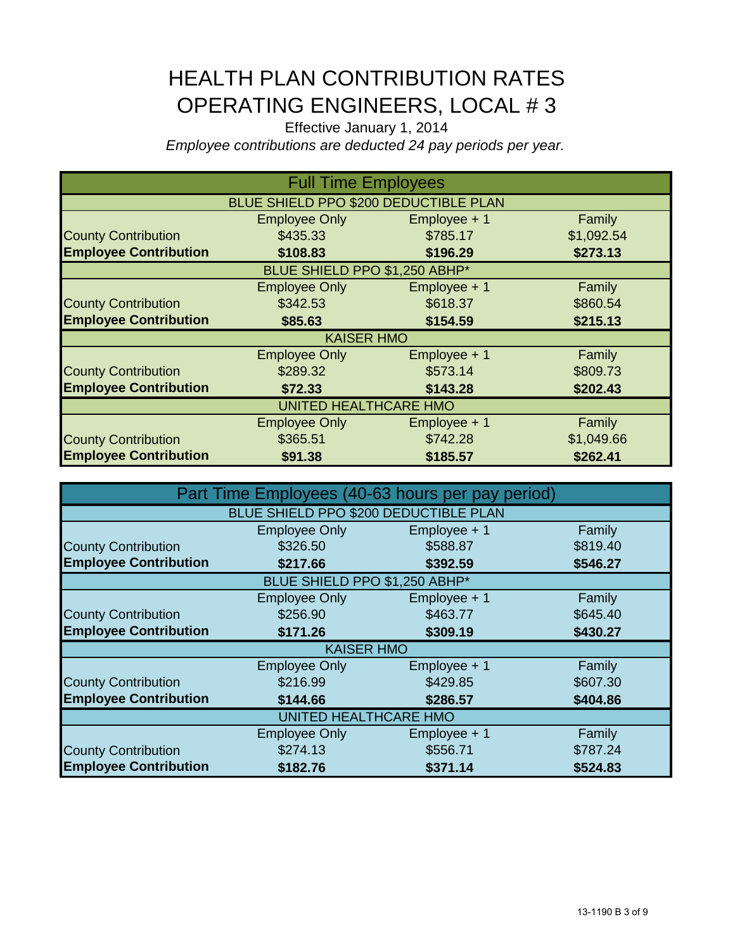## HEALTH PLAN CONTRIBUTION RATES OPERATING ENGINEERS, LOCAL # 3

Effective January 1, 2014 *Employee contributions are deducted 24 pay periods per year.*

| <b>Full Time Employees</b>   |                                       |                |            |  |
|------------------------------|---------------------------------------|----------------|------------|--|
|                              | BLUE SHIELD PPO \$200 DEDUCTIBLE PLAN |                |            |  |
|                              | <b>Employee Only</b>                  | Employee + 1   | Family     |  |
| <b>County Contribution</b>   | \$435.33                              | \$785.17       | \$1,092.54 |  |
| <b>Employee Contribution</b> | \$108.83                              | \$196.29       | \$273.13   |  |
|                              | BLUE SHIELD PPO \$1,250 ABHP*         |                |            |  |
|                              | <b>Employee Only</b>                  | Employee + 1   | Family     |  |
| <b>County Contribution</b>   | \$342.53                              | \$618.37       | \$860.54   |  |
| <b>Employee Contribution</b> | \$85.63                               | \$154.59       | \$215.13   |  |
|                              | <b>KAISER HMO</b>                     |                |            |  |
|                              | <b>Employee Only</b>                  | Employee + 1   | Family     |  |
| <b>County Contribution</b>   | \$289.32                              | \$573.14       | \$809.73   |  |
| <b>Employee Contribution</b> | \$72.33                               | \$143.28       | \$202.43   |  |
| <b>UNITED HEALTHCARE HMO</b> |                                       |                |            |  |
|                              | <b>Employee Only</b>                  | $Employee + 1$ | Family     |  |
| <b>County Contribution</b>   | \$365.51                              | \$742.28       | \$1,049.66 |  |
| <b>Employee Contribution</b> | \$91.38                               | \$185.57       | \$262.41   |  |

| Part Time Employees (40-63 hours per pay period) |                                       |                |          |  |
|--------------------------------------------------|---------------------------------------|----------------|----------|--|
|                                                  | BLUE SHIELD PPO \$200 DEDUCTIBLE PLAN |                |          |  |
|                                                  | <b>Employee Only</b>                  | $Employee + 1$ | Family   |  |
| <b>County Contribution</b>                       | \$326.50                              | \$588.87       | \$819.40 |  |
| <b>Employee Contribution</b>                     | \$217.66                              | \$392.59       | \$546.27 |  |
|                                                  | BLUE SHIELD PPO \$1,250 ABHP*         |                |          |  |
|                                                  | <b>Employee Only</b>                  | $Employee + 1$ | Family   |  |
| <b>County Contribution</b>                       | \$256.90                              | \$463.77       | \$645.40 |  |
| <b>Employee Contribution</b>                     | \$171.26                              | \$309.19       | \$430.27 |  |
|                                                  | <b>KAISER HMO</b>                     |                |          |  |
|                                                  | <b>Employee Only</b>                  | $Employee + 1$ | Family   |  |
| <b>County Contribution</b>                       | \$216.99                              | \$429.85       | \$607.30 |  |
| <b>Employee Contribution</b>                     | \$144.66                              | \$286.57       | \$404.86 |  |
| UNITED HEALTHCARE HMO                            |                                       |                |          |  |
|                                                  | <b>Employee Only</b>                  | $Employee + 1$ | Family   |  |
| <b>County Contribution</b>                       | \$274.13                              | \$556.71       | \$787.24 |  |
| <b>Employee Contribution</b>                     | \$182.76                              | \$371.14       | \$524.83 |  |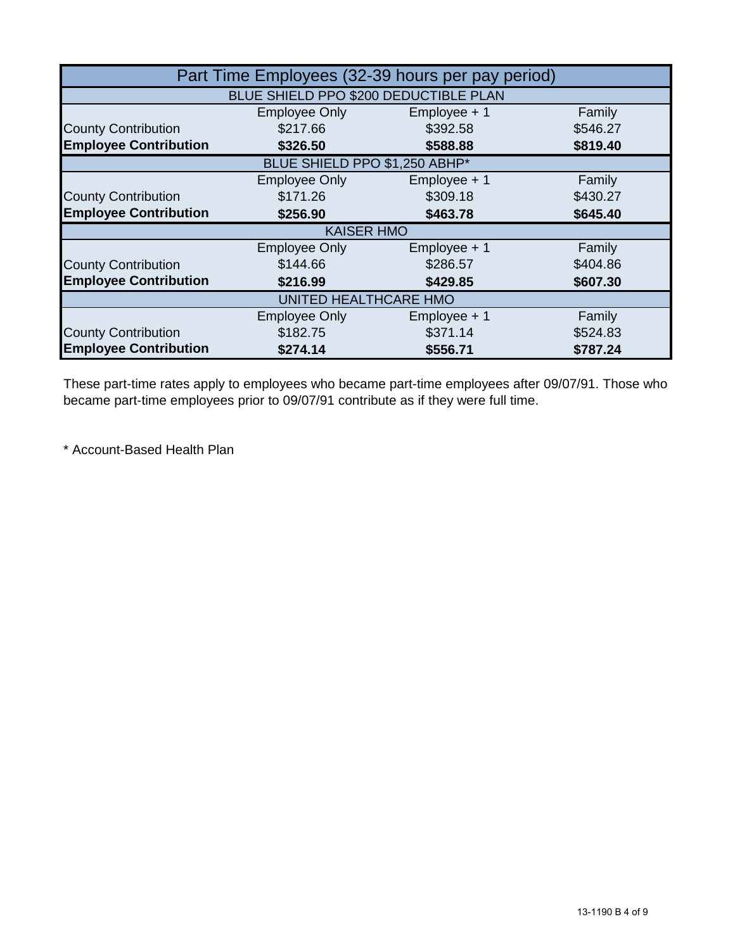| Part Time Employees (32-39 hours per pay period) |                                       |                |          |  |
|--------------------------------------------------|---------------------------------------|----------------|----------|--|
|                                                  | BLUE SHIELD PPO \$200 DEDUCTIBLE PLAN |                |          |  |
|                                                  | <b>Employee Only</b>                  | Employee + 1   | Family   |  |
| <b>County Contribution</b>                       | \$217.66                              | \$392.58       | \$546.27 |  |
| <b>Employee Contribution</b>                     | \$326.50                              | \$588.88       | \$819.40 |  |
|                                                  | BLUE SHIELD PPO \$1,250 ABHP*         |                |          |  |
|                                                  | <b>Employee Only</b>                  | Employee + 1   | Family   |  |
| <b>County Contribution</b>                       | \$171.26                              | \$309.18       | \$430.27 |  |
| <b>Employee Contribution</b>                     | \$256.90                              | \$463.78       | \$645.40 |  |
|                                                  | <b>KAISER HMO</b>                     |                |          |  |
|                                                  | <b>Employee Only</b>                  | $Employee + 1$ | Family   |  |
| <b>County Contribution</b>                       | \$144.66                              | \$286.57       | \$404.86 |  |
| <b>Employee Contribution</b>                     | \$216.99                              | \$429.85       | \$607.30 |  |
| UNITED HEALTHCARE HMO                            |                                       |                |          |  |
|                                                  | <b>Employee Only</b>                  | $Employee + 1$ | Family   |  |
| <b>County Contribution</b>                       | \$182.75                              | \$371.14       | \$524.83 |  |
| <b>Employee Contribution</b>                     | \$274.14                              | \$556.71       | \$787.24 |  |

These part-time rates apply to employees who became part-time employees after 09/07/91. Those who became part-time employees prior to 09/07/91 contribute as if they were full time.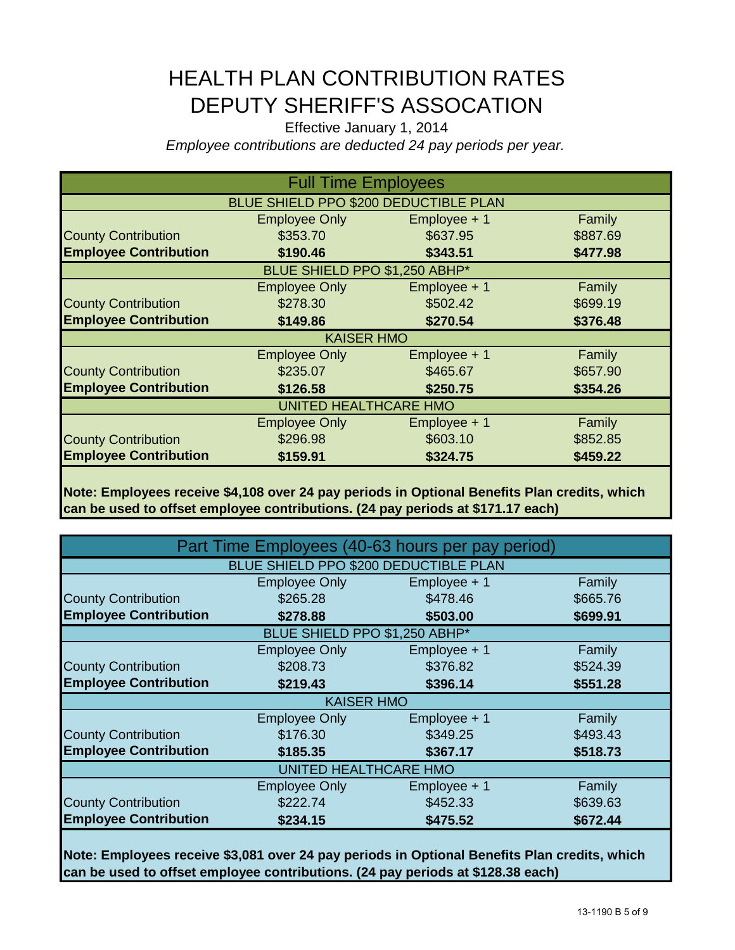## HEALTH PLAN CONTRIBUTION RATES DEPUTY SHERIFF'S ASSOCATION

Effective January 1, 2014 *Employee contributions are deducted 24 pay periods per year.*

| <b>Full Time Employees</b>   |                                       |                |          |  |
|------------------------------|---------------------------------------|----------------|----------|--|
|                              | BLUE SHIELD PPO \$200 DEDUCTIBLE PLAN |                |          |  |
|                              | <b>Employee Only</b>                  | $Employee + 1$ | Family   |  |
| <b>County Contribution</b>   | \$353.70                              | \$637.95       | \$887.69 |  |
| <b>Employee Contribution</b> | \$190.46                              | \$343.51       | \$477.98 |  |
|                              | BLUE SHIELD PPO \$1,250 ABHP*         |                |          |  |
|                              | <b>Employee Only</b>                  | Employee + 1   | Family   |  |
| <b>County Contribution</b>   | \$278.30                              | \$502.42       | \$699.19 |  |
| <b>Employee Contribution</b> | \$149.86                              | \$270.54       | \$376.48 |  |
|                              | <b>KAISER HMO</b>                     |                |          |  |
|                              | <b>Employee Only</b>                  | Employee + 1   | Family   |  |
| <b>County Contribution</b>   | \$235.07                              | \$465.67       | \$657.90 |  |
| <b>Employee Contribution</b> | \$126.58                              | \$250.75       | \$354.26 |  |
| <b>UNITED HEALTHCARE HMO</b> |                                       |                |          |  |
|                              | <b>Employee Only</b>                  | Employee + 1   | Family   |  |
| <b>County Contribution</b>   | \$296.98                              | \$603.10       | \$852.85 |  |
| <b>Employee Contribution</b> | \$159.91                              | \$324.75       | \$459.22 |  |

**Note: Employees receive \$4,108 over 24 pay periods in Optional Benefits Plan credits, which can be used to offset employee contributions. (24 pay periods at \$171.17 each)**

|                              |                                       | Part Time Employees (40-63 hours per pay period) |          |
|------------------------------|---------------------------------------|--------------------------------------------------|----------|
|                              | BLUE SHIELD PPO \$200 DEDUCTIBLE PLAN |                                                  |          |
|                              | <b>Employee Only</b>                  | Employee + 1                                     | Family   |
| <b>County Contribution</b>   | \$265.28                              | \$478.46                                         | \$665.76 |
| <b>Employee Contribution</b> | \$278.88                              | \$503.00                                         | \$699.91 |
|                              | BLUE SHIELD PPO \$1,250 ABHP*         |                                                  |          |
|                              | <b>Employee Only</b>                  | Employee + 1                                     | Family   |
| <b>County Contribution</b>   | \$208.73                              | \$376.82                                         | \$524.39 |
| <b>Employee Contribution</b> | \$219.43                              | \$396.14                                         | \$551.28 |
|                              | <b>KAISER HMO</b>                     |                                                  |          |
|                              | <b>Employee Only</b>                  | Employee + 1                                     | Family   |
| <b>County Contribution</b>   | \$176.30                              | \$349.25                                         | \$493.43 |
| <b>Employee Contribution</b> | \$185.35                              | \$367.17                                         | \$518.73 |
|                              | UNITED HEALTHCARE HMO                 |                                                  |          |
|                              | <b>Employee Only</b>                  | $Employee + 1$                                   | Family   |
| <b>County Contribution</b>   | \$222.74                              | \$452.33                                         | \$639.63 |
| <b>Employee Contribution</b> | \$234.15                              | \$475.52                                         | \$672.44 |
|                              |                                       |                                                  |          |

**Note: Employees receive \$3,081 over 24 pay periods in Optional Benefits Plan credits, which can be used to offset employee contributions. (24 pay periods at \$128.38 each)**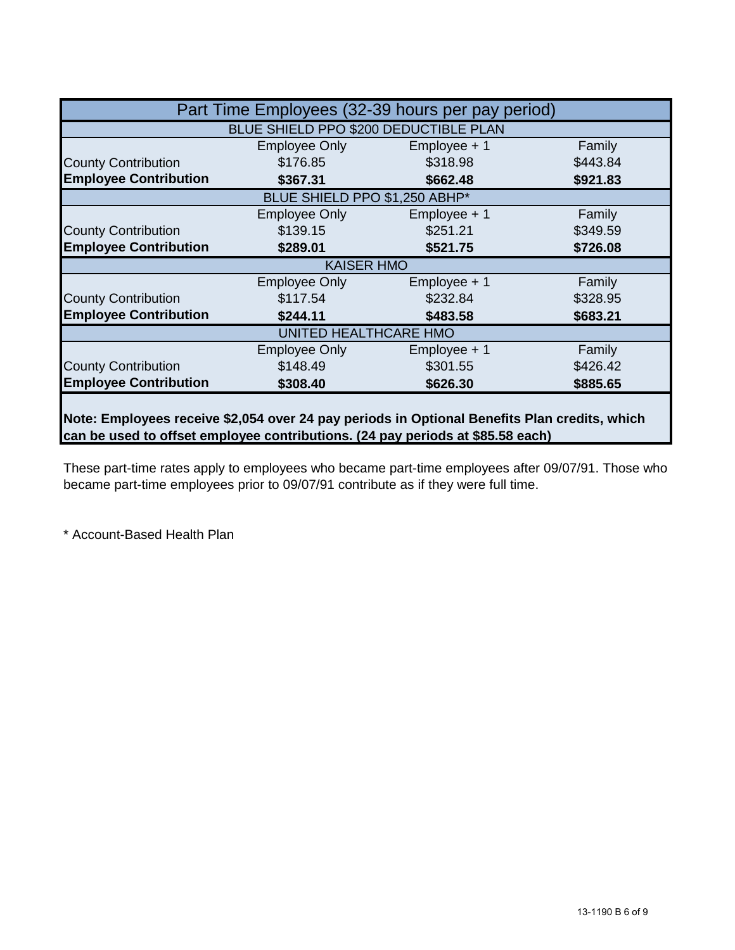|                              |                                       | Part Time Employees (32-39 hours per pay period) |          |
|------------------------------|---------------------------------------|--------------------------------------------------|----------|
|                              | BLUE SHIELD PPO \$200 DEDUCTIBLE PLAN |                                                  |          |
|                              | <b>Employee Only</b>                  | $Employee + 1$                                   | Family   |
| <b>County Contribution</b>   | \$176.85                              | \$318.98                                         | \$443.84 |
| <b>Employee Contribution</b> | \$367.31                              | \$662.48                                         | \$921.83 |
|                              | BLUE SHIELD PPO \$1,250 ABHP*         |                                                  |          |
|                              | Employee Only                         | $Employee + 1$                                   | Family   |
| <b>County Contribution</b>   | \$139.15                              | \$251.21                                         | \$349.59 |
| <b>Employee Contribution</b> | \$289.01                              | \$521.75                                         | \$726.08 |
|                              | <b>KAISER HMO</b>                     |                                                  |          |
|                              | Employee Only                         | Employee + 1                                     | Family   |
| <b>County Contribution</b>   | \$117.54                              | \$232.84                                         | \$328.95 |
| <b>Employee Contribution</b> | \$244.11                              | \$483.58                                         | \$683.21 |
|                              | UNITED HEALTHCARE HMO                 |                                                  |          |
|                              | Employee Only                         | $Employee + 1$                                   | Family   |
| <b>County Contribution</b>   | \$148.49                              | \$301.55                                         | \$426.42 |
| <b>Employee Contribution</b> | \$308.40                              | \$626.30                                         | \$885.65 |
|                              |                                       |                                                  |          |

**Note: Employees receive \$2,054 over 24 pay periods in Optional Benefits Plan credits, which can be used to offset employee contributions. (24 pay periods at \$85.58 each)**

These part-time rates apply to employees who became part-time employees after 09/07/91. Those who became part-time employees prior to 09/07/91 contribute as if they were full time.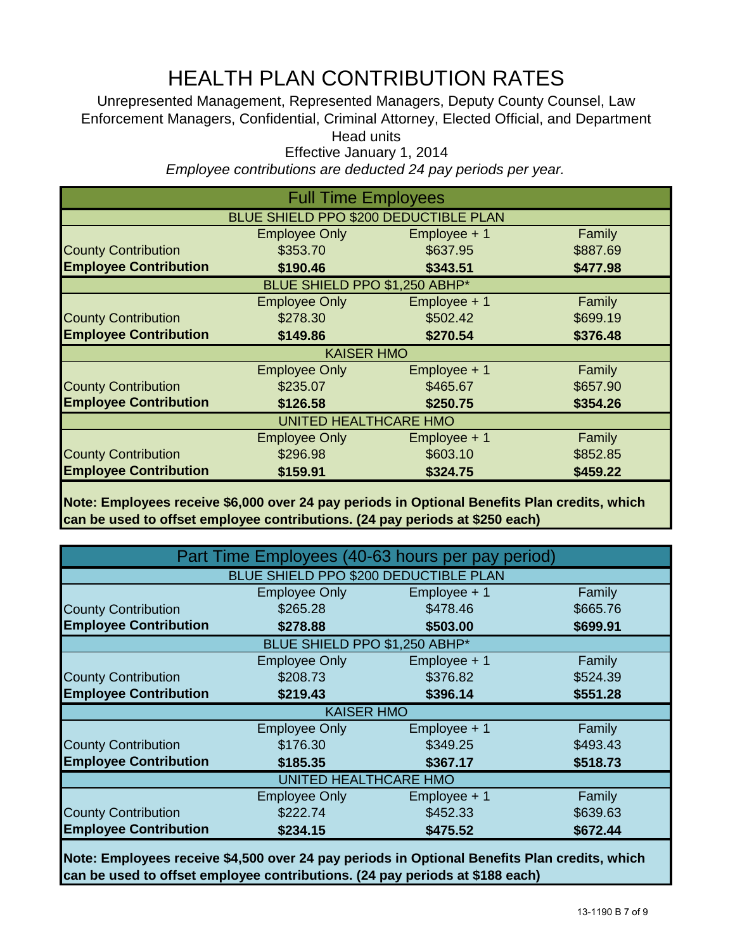# HEALTH PLAN CONTRIBUTION RATES

Unrepresented Management, Represented Managers, Deputy County Counsel, Law Enforcement Managers, Confidential, Criminal Attorney, Elected Official, and Department Head units

Effective January 1, 2014

*Employee contributions are deducted 24 pay periods per year.*

| <b>Full Time Employees</b>   |                                       |                |          |  |
|------------------------------|---------------------------------------|----------------|----------|--|
|                              | BLUE SHIELD PPO \$200 DEDUCTIBLE PLAN |                |          |  |
|                              | <b>Employee Only</b>                  | $Employee + 1$ | Family   |  |
| <b>County Contribution</b>   | \$353.70                              | \$637.95       | \$887.69 |  |
| <b>Employee Contribution</b> | \$190.46                              | \$343.51       | \$477.98 |  |
|                              | BLUE SHIELD PPO \$1,250 ABHP*         |                |          |  |
|                              | <b>Employee Only</b>                  | Employee + 1   | Family   |  |
| <b>County Contribution</b>   | \$278.30                              | \$502.42       | \$699.19 |  |
| <b>Employee Contribution</b> | \$149.86                              | \$270.54       | \$376.48 |  |
|                              | <b>KAISER HMO</b>                     |                |          |  |
|                              | <b>Employee Only</b>                  | $Employee + 1$ | Family   |  |
| <b>County Contribution</b>   | \$235.07                              | \$465.67       | \$657.90 |  |
| <b>Employee Contribution</b> | \$126.58                              | \$250.75       | \$354.26 |  |
| <b>UNITED HEALTHCARE HMO</b> |                                       |                |          |  |
|                              | <b>Employee Only</b>                  | $Employee + 1$ | Family   |  |
| <b>County Contribution</b>   | \$296.98                              | \$603.10       | \$852.85 |  |
| <b>Employee Contribution</b> | \$159.91                              | \$324.75       | \$459.22 |  |

**Note: Employees receive \$6,000 over 24 pay periods in Optional Benefits Plan credits, which can be used to offset employee contributions. (24 pay periods at \$250 each)**

|                              |                                              | Part Time Employees (40-63 hours per pay period) |          |  |
|------------------------------|----------------------------------------------|--------------------------------------------------|----------|--|
|                              | <b>BLUE SHIELD PPO \$200 DEDUCTIBLE PLAN</b> |                                                  |          |  |
|                              | <b>Employee Only</b>                         | Employee + 1                                     | Family   |  |
| <b>County Contribution</b>   | \$265.28                                     | \$478.46                                         | \$665.76 |  |
| <b>Employee Contribution</b> | \$278.88                                     | \$503.00                                         | \$699.91 |  |
|                              | BLUE SHIELD PPO \$1,250 ABHP*                |                                                  |          |  |
|                              | <b>Employee Only</b>                         | $Employee + 1$                                   | Family   |  |
| <b>County Contribution</b>   | \$208.73                                     | \$376.82                                         | \$524.39 |  |
| <b>Employee Contribution</b> | \$219.43                                     | \$396.14                                         | \$551.28 |  |
|                              | <b>KAISER HMO</b>                            |                                                  |          |  |
|                              | <b>Employee Only</b>                         | Employee + 1                                     | Family   |  |
| <b>County Contribution</b>   | \$176.30                                     | \$349.25                                         | \$493.43 |  |
| <b>Employee Contribution</b> | \$185.35                                     | \$367.17                                         | \$518.73 |  |
| UNITED HEALTHCARE HMO        |                                              |                                                  |          |  |
|                              | <b>Employee Only</b>                         | $Employee + 1$                                   | Family   |  |
| <b>County Contribution</b>   | \$222.74                                     | \$452.33                                         | \$639.63 |  |
| <b>Employee Contribution</b> | \$234.15                                     | \$475.52                                         | \$672.44 |  |

**Note: Employees receive \$4,500 over 24 pay periods in Optional Benefits Plan credits, which can be used to offset employee contributions. (24 pay periods at \$188 each)**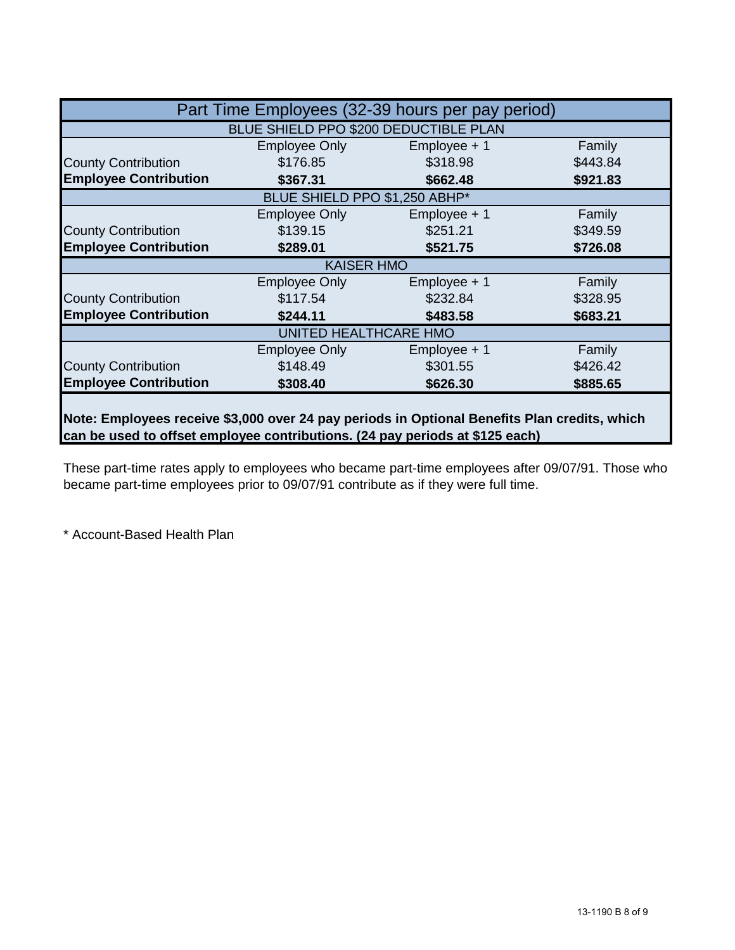|                              |                                       | Part Time Employees (32-39 hours per pay period) |          |
|------------------------------|---------------------------------------|--------------------------------------------------|----------|
|                              | BLUE SHIELD PPO \$200 DEDUCTIBLE PLAN |                                                  |          |
|                              | Employee Only                         | $Employee + 1$                                   | Family   |
| <b>County Contribution</b>   | \$176.85                              | \$318.98                                         | \$443.84 |
| <b>Employee Contribution</b> | \$367.31                              | \$662.48                                         | \$921.83 |
|                              | BLUE SHIELD PPO \$1,250 ABHP*         |                                                  |          |
|                              | <b>Employee Only</b>                  | $Employee + 1$                                   | Family   |
| <b>County Contribution</b>   | \$139.15                              | \$251.21                                         | \$349.59 |
| <b>Employee Contribution</b> | \$289.01                              | \$521.75                                         | \$726.08 |
|                              | <b>KAISER HMO</b>                     |                                                  |          |
|                              | Employee Only                         | Employee + 1                                     | Family   |
| <b>County Contribution</b>   | \$117.54                              | \$232.84                                         | \$328.95 |
| <b>Employee Contribution</b> | \$244.11                              | \$483.58                                         | \$683.21 |
|                              | UNITED HEALTHCARE HMO                 |                                                  |          |
|                              | Employee Only                         | $Employee + 1$                                   | Family   |
| <b>County Contribution</b>   | \$148.49                              | \$301.55                                         | \$426.42 |
| <b>Employee Contribution</b> | \$308.40                              | \$626.30                                         | \$885.65 |
|                              |                                       |                                                  |          |

**Note: Employees receive \$3,000 over 24 pay periods in Optional Benefits Plan credits, which can be used to offset employee contributions. (24 pay periods at \$125 each)**

These part-time rates apply to employees who became part-time employees after 09/07/91. Those who became part-time employees prior to 09/07/91 contribute as if they were full time.